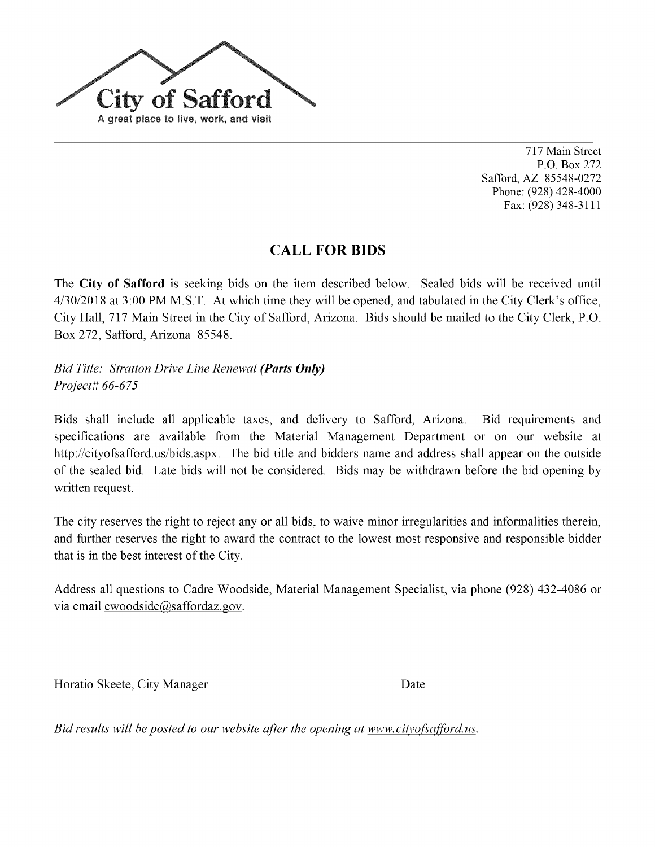

717MainStreet P.O. Box272 Safford, AZ 85548-0272 Phone: (928) 428-4000 Fax: (928) 348-3111

## **CALL FOR BIDS**

The City of Safford is seeking bids on the item described below. Sealed bids will be received until 4/30/2018 at 3:00 PM M.S.T. At which time they will be opened, and tabulated in the City Clerk's office, City Hall, 717 Main Street in the City of Safford, Arizona. Bids should be mailed to the City Clerk, P.O. Box272, Safford, Arizona 85548.

Bid Title: Stratton Drive Line Renewal (Parts Only) Project# 66-675

Bids shall include all applicable taxes, and delivery to Safford, Arizona. Bid requirements and specifications are available from the Material Management Department or on our website at http://cityofsafford.us/bids.aspx. The bid title and bidders name and address shall appear on the outside of the sealed bid. Late bids will not be considered. Bids may be withdrawn before the bid opening by written request.

The city reserves the right to reject any or all bids, to waive minor irregularities and informalities therein, and further reserves the right to award the contract to the lowest most responsive and responsible bidder that is in the best interest of the City.

Address all questions to Cadre Woodside, Material Management Specialist, via phone (928) 432-4086 or via email cwoodside@saffordaz.gov.

Horatio Skeete, City Manager Date

Bid results will be posted to our website after the opening at www.cityofsafford.us.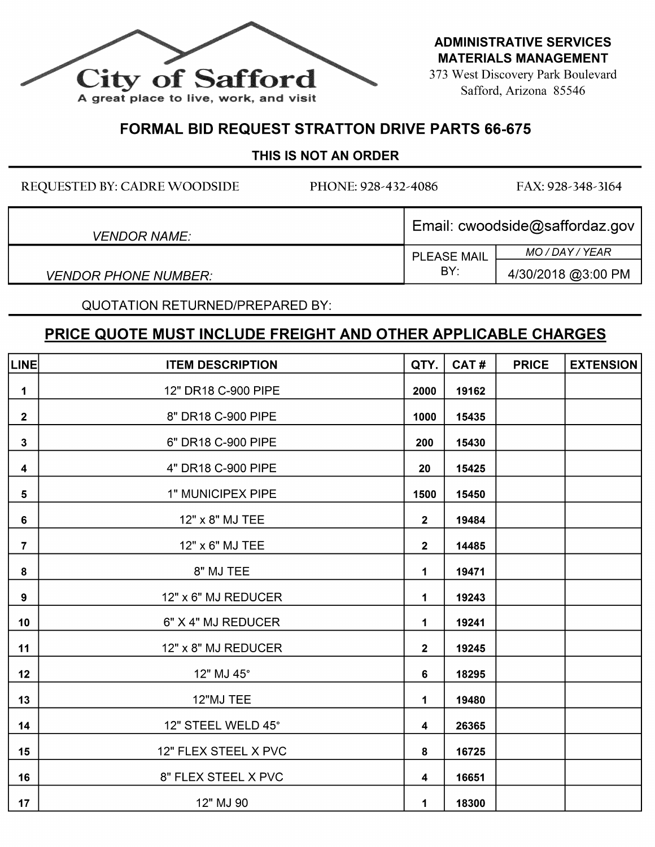

**ADMINISTRATIVE SERVICES MATERIALS MANAGEMENT** 

373 West Discovery Park Boulevard Safford, Arizona 85546

## FORMAL BID REQUEST STRATTON DRIVE PARTS 66-675

## THIS IS NOT AN ORDER

REQUESTED BY: CADRE WOODSIDE PHONE: 928-432-4086 FAX: 928-348-3164 VENDOR NAME:<br>VENDOR NAME:<br>PLEASE MAIL MO/DAY/YEAR PLEASE MAIL<br>BY: VENDOR PHONE NUMBER:  $\begin{array}{ccc} \vert & \vert & \vert & \vert^{8} \end{array}$   $\begin{array}{ccc} \vert & \vert & \vert & \vert^{4/30/2018} \text{ @} 3:00 \text{ PM} \end{array}$ 

QUOTATION RETURNED/PREPARED BY:

|                         | <u>PRICE QUOTE MUST INCLUDE FREIGHT AND OTHER APPLICABLE CHARGES</u> |                |       |              |                  |  |  |
|-------------------------|----------------------------------------------------------------------|----------------|-------|--------------|------------------|--|--|
| <b>LINE</b>             | <b>ITEM DESCRIPTION</b>                                              | QTY.           | CAT#  | <b>PRICE</b> | <b>EXTENSION</b> |  |  |
| 1                       | 12" DR18 C-900 PIPE                                                  | 2000           | 19162 |              |                  |  |  |
| $\overline{2}$          | 8" DR18 C-900 PIPE                                                   | 1000           | 15435 |              |                  |  |  |
| $\mathbf{3}$            | 6" DR18 C-900 PIPE                                                   | 200            | 15430 |              |                  |  |  |
| $\overline{\mathbf{4}}$ | 4" DR18 C-900 PIPE                                                   | 20             | 15425 |              |                  |  |  |
| 5 <sub>5</sub>          | 1" MUNICIPEX PIPE                                                    | 1500           | 15450 |              |                  |  |  |
| 6                       | 12" x 8" MJ TEE                                                      | $\overline{2}$ | 19484 |              |                  |  |  |
| $\overline{7}$          | 12" x 6" MJ TEE                                                      | $\mathbf{2}$   | 14485 |              |                  |  |  |
| 8                       | 8" MJ TEE                                                            | 1              | 19471 |              |                  |  |  |
| 9                       | 12" x 6" MJ REDUCER                                                  | 1              | 19243 |              |                  |  |  |
| 10                      | 6" X 4" MJ REDUCER                                                   | 1              | 19241 |              |                  |  |  |
| 11                      | 12" x 8" MJ REDUCER                                                  | $\mathbf{2}$   | 19245 |              |                  |  |  |
| 12                      | 12" MJ 45°                                                           | 6              | 18295 |              |                  |  |  |
| 13                      | 12"MJ TEE                                                            | 1              | 19480 |              |                  |  |  |
| 14                      | 12" STEEL WELD 45°                                                   | 4              | 26365 |              |                  |  |  |
| 15                      | 12" FLEX STEEL X PVC                                                 | 8              | 16725 |              |                  |  |  |
| 16                      | 8" FLEX STEEL X PVC                                                  | 4              | 16651 |              |                  |  |  |
| 17                      | 12" MJ 90                                                            | 1              | 18300 |              |                  |  |  |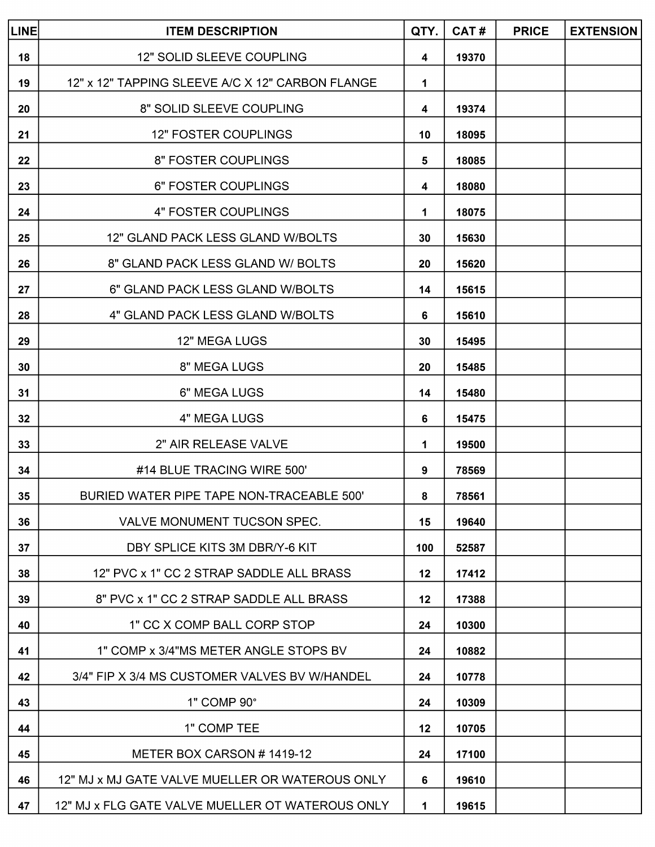| QTY. CAT # PRICE EXTENSION<br><b>ITEM DESCRIPTION</b>                                                                                                                                                                                                                                      |  |  |  |
|--------------------------------------------------------------------------------------------------------------------------------------------------------------------------------------------------------------------------------------------------------------------------------------------|--|--|--|
| 12" SOLID SLEEVE COUPLING                                                                                                                                                                                                                                                                  |  |  |  |
|                                                                                                                                                                                                                                                                                            |  |  |  |
|                                                                                                                                                                                                                                                                                            |  |  |  |
|                                                                                                                                                                                                                                                                                            |  |  |  |
| 6" FOSTER COUPLING                                                                                                                                                                                                                                                                         |  |  |  |
|                                                                                                                                                                                                                                                                                            |  |  |  |
| 4" FOSTER COUPLINGS                                                                                                                                                                                                                                                                        |  |  |  |
|                                                                                                                                                                                                                                                                                            |  |  |  |
|                                                                                                                                                                                                                                                                                            |  |  |  |
|                                                                                                                                                                                                                                                                                            |  |  |  |
|                                                                                                                                                                                                                                                                                            |  |  |  |
| 8" MEGA LUGS                                                                                                                                                                                                                                                                               |  |  |  |
| 6" MEGA LUGS                                                                                                                                                                                                                                                                               |  |  |  |
| 4" MEGA LUGS                                                                                                                                                                                                                                                                               |  |  |  |
|                                                                                                                                                                                                                                                                                            |  |  |  |
| 2" AIR RELEASE VALVE<br>#14 BLUE TRACING WIRE 500'                                                                                                                                                                                                                                         |  |  |  |
| BURIED WATER PIPE TAPE NON-TRACEABLE 500'                                                                                                                                                                                                                                                  |  |  |  |
| VALVE MONUMENT TUCSON SPEC.                                                                                                                                                                                                                                                                |  |  |  |
| $\begin{array}{ c c } \hline 6 & 15475 \ \hline 1 & 19500 \ \hline 9 & 78569 \ \hline 8 & 78561 \ \hline 15 & 19640 \ \hline 100 & 52587 \ \hline \end{array}$                                                                                                                             |  |  |  |
| DBY SPLICE KITS 3M DBR/Y-6 KIT<br>12" PVC x 1" CC 2 STRAP SADDLE ALL BRASS<br>8" PVC x 1" CC 2 STRAP SADDLE ALL BRASS                                                                                                                                                                      |  |  |  |
|                                                                                                                                                                                                                                                                                            |  |  |  |
|                                                                                                                                                                                                                                                                                            |  |  |  |
| 1" CC X COMP BALL CORP STOP<br>1" COMP x 3/4"MS METER ANGLE STOPS BV                                                                                                                                                                                                                       |  |  |  |
|                                                                                                                                                                                                                                                                                            |  |  |  |
|                                                                                                                                                                                                                                                                                            |  |  |  |
| $\begin{array}{r rrrrrr} \hline & 100 & 32567 \ \hline & 12 & 17412 \ \hline & 12 & 17388 \ \hline & 24 & 10300 \ \hline & 24 & 10882 \ \hline \end{array}$<br>EL 24 10778 24 10309 12 10705 12 10705<br>42<br>3/4" FIP X 3/4 MS CUSTOMER VALVES BV W/HANDEL<br>1" COMP 90°<br>1" COMP TEE |  |  |  |
| METER BOX CARSON # 1419-12<br>$\begin{array}{ c c c c c }\hline &24&17100&\\ \hline \end{array}$                                                                                                                                                                                           |  |  |  |
| $\begin{array}{ c c c c c }\hline \texttt{12" MJ x MJ GATE VALUE VALUE MUELLER OR WATEROUS ONLY} \hline \end{array}$                                                                                                                                                                       |  |  |  |
|                                                                                                                                                                                                                                                                                            |  |  |  |
|                                                                                                                                                                                                                                                                                            |  |  |  |